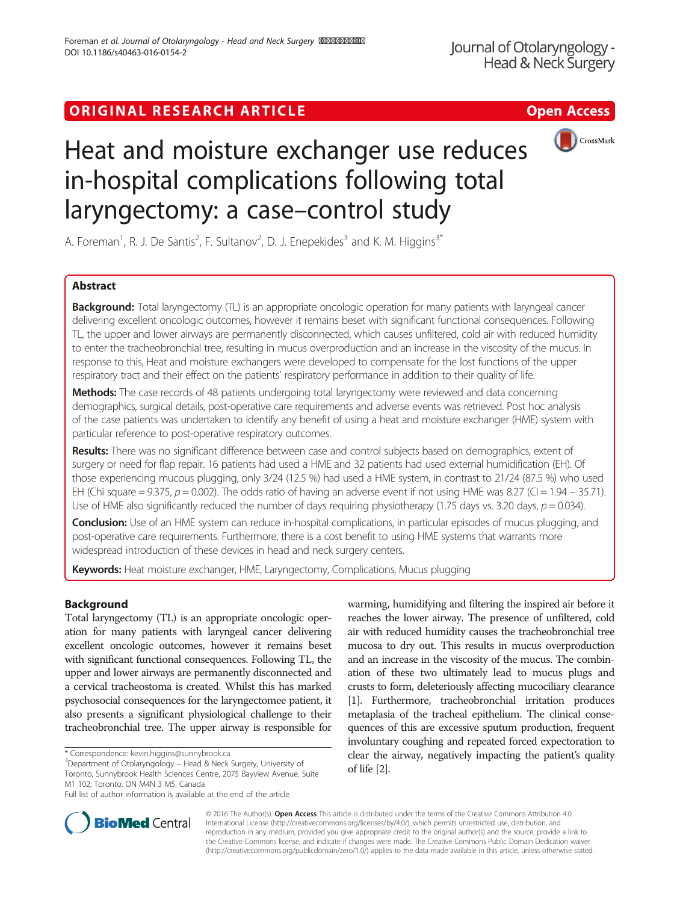# ORIGINAL RESEARCH ARTICLE **Solution Contract Contract Contract Contract Contract Contract Contract Contract Contract Contract Contract Contract Contract Contract Contract Contract Contract Contract Contract Contract Contra**



# Heat and moisture exchanger use reduces in-hospital complications following total laryngectomy: a case–control study

A. Foreman<sup>1</sup>, R. J. De Santis<sup>2</sup>, F. Sultanov<sup>2</sup>, D. J. Enepekides<sup>3</sup> and K. M. Higgins<sup>3\*</sup>

# Abstract

Background: Total laryngectomy (TL) is an appropriate oncologic operation for many patients with laryngeal cancer delivering excellent oncologic outcomes, however it remains beset with significant functional consequences. Following TL, the upper and lower airways are permanently disconnected, which causes unfiltered, cold air with reduced humidity to enter the tracheobronchial tree, resulting in mucus overproduction and an increase in the viscosity of the mucus. In response to this, Heat and moisture exchangers were developed to compensate for the lost functions of the upper respiratory tract and their effect on the patients' respiratory performance in addition to their quality of life.

Methods: The case records of 48 patients undergoing total laryngectomy were reviewed and data concerning demographics, surgical details, post-operative care requirements and adverse events was retrieved. Post hoc analysis of the case patients was undertaken to identify any benefit of using a heat and moisture exchanger (HME) system with particular reference to post-operative respiratory outcomes.

Results: There was no significant difference between case and control subjects based on demographics, extent of surgery or need for flap repair. 16 patients had used a HME and 32 patients had used external humidification (EH). Of those experiencing mucous plugging, only 3/24 (12.5 %) had used a HME system, in contrast to 21/24 (87.5 %) who used EH (Chi square = 9.375,  $p = 0.002$ ). The odds ratio of having an adverse event if not using HME was 8.27 (CI = 1.94 – 35.71). Use of HME also significantly reduced the number of days requiring physiotherapy (1.75 days vs. 3.20 days,  $p = 0.034$ ).

Conclusion: Use of an HME system can reduce in-hospital complications, in particular episodes of mucus plugging, and post-operative care requirements. Furthermore, there is a cost benefit to using HME systems that warrants more widespread introduction of these devices in head and neck surgery centers.

Keywords: Heat moisture exchanger, HME, Laryngectomy, Complications, Mucus plugging

# Background

Total laryngectomy (TL) is an appropriate oncologic operation for many patients with laryngeal cancer delivering excellent oncologic outcomes, however it remains beset with significant functional consequences. Following TL, the upper and lower airways are permanently disconnected and a cervical tracheostoma is created. Whilst this has marked psychosocial consequences for the laryngectomee patient, it also presents a significant physiological challenge to their tracheobronchial tree. The upper airway is responsible for

<sup>3</sup>Department of Otolaryngology - Head & Neck Surgery, University of Toronto, Sunnybrook Health Sciences Centre, 2075 Bayview Avenue, Suite M1 102, Toronto, ON M4N 3 M5, Canada

warming, humidifying and filtering the inspired air before it reaches the lower airway. The presence of unfiltered, cold air with reduced humidity causes the tracheobronchial tree mucosa to dry out. This results in mucus overproduction and an increase in the viscosity of the mucus. The combination of these two ultimately lead to mucus plugs and crusts to form, deleteriously affecting mucociliary clearance [[1](#page-4-0)]. Furthermore, tracheobronchial irritation produces metaplasia of the tracheal epithelium. The clinical consequences of this are excessive sputum production, frequent involuntary coughing and repeated forced expectoration to clear the airway, negatively impacting the patient's quality of life [\[2\]](#page-4-0).



© 2016 The Author(s). Open Access This article is distributed under the terms of the Creative Commons Attribution 4.0 International License [\(http://creativecommons.org/licenses/by/4.0/](http://creativecommons.org/licenses/by/4.0/)), which permits unrestricted use, distribution, and reproduction in any medium, provided you give appropriate credit to the original author(s) and the source, provide a link to the Creative Commons license, and indicate if changes were made. The Creative Commons Public Domain Dedication waiver [\(http://creativecommons.org/publicdomain/zero/1.0/](http://creativecommons.org/publicdomain/zero/1.0/)) applies to the data made available in this article, unless otherwise stated.

<sup>\*</sup> Correspondence: [kevin.higgins@sunnybrook.ca](mailto:kevin.higgins@sunnybrook.ca) <sup>3</sup>

Full list of author information is available at the end of the article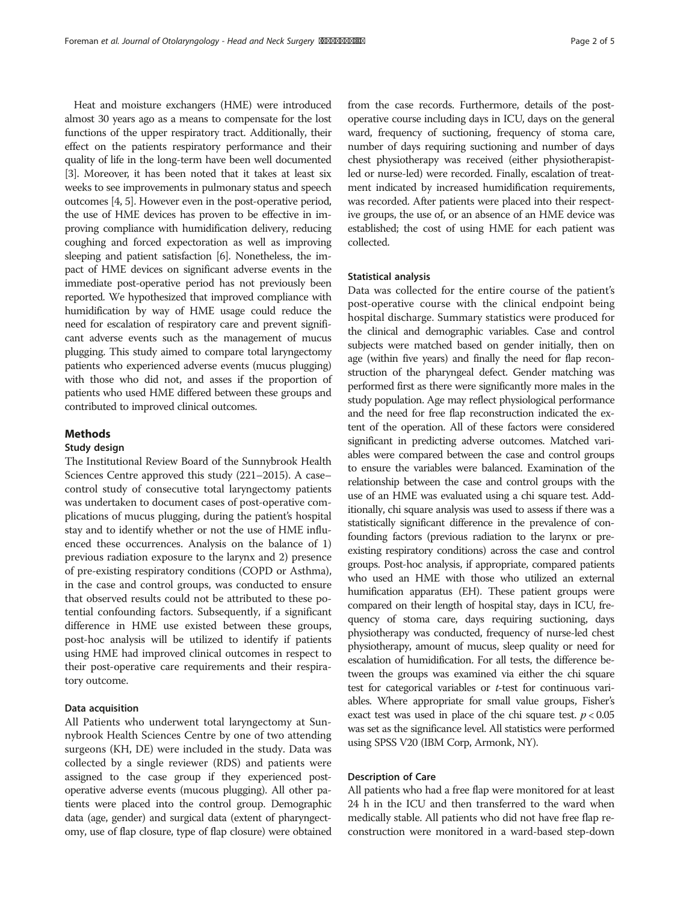Heat and moisture exchangers (HME) were introduced almost 30 years ago as a means to compensate for the lost functions of the upper respiratory tract. Additionally, their effect on the patients respiratory performance and their quality of life in the long-term have been well documented [[3](#page-4-0)]. Moreover, it has been noted that it takes at least six weeks to see improvements in pulmonary status and speech outcomes [\[4, 5](#page-4-0)]. However even in the post-operative period, the use of HME devices has proven to be effective in improving compliance with humidification delivery, reducing coughing and forced expectoration as well as improving sleeping and patient satisfaction [\[6](#page-4-0)]. Nonetheless, the impact of HME devices on significant adverse events in the immediate post-operative period has not previously been reported. We hypothesized that improved compliance with humidification by way of HME usage could reduce the need for escalation of respiratory care and prevent significant adverse events such as the management of mucus plugging. This study aimed to compare total laryngectomy patients who experienced adverse events (mucus plugging) with those who did not, and asses if the proportion of patients who used HME differed between these groups and contributed to improved clinical outcomes.

# Methods

### Study design

The Institutional Review Board of the Sunnybrook Health Sciences Centre approved this study (221–2015). A case– control study of consecutive total laryngectomy patients was undertaken to document cases of post-operative complications of mucus plugging, during the patient's hospital stay and to identify whether or not the use of HME influenced these occurrences. Analysis on the balance of 1) previous radiation exposure to the larynx and 2) presence of pre-existing respiratory conditions (COPD or Asthma), in the case and control groups, was conducted to ensure that observed results could not be attributed to these potential confounding factors. Subsequently, if a significant difference in HME use existed between these groups, post-hoc analysis will be utilized to identify if patients using HME had improved clinical outcomes in respect to their post-operative care requirements and their respiratory outcome.

# Data acquisition

All Patients who underwent total laryngectomy at Sunnybrook Health Sciences Centre by one of two attending surgeons (KH, DE) were included in the study. Data was collected by a single reviewer (RDS) and patients were assigned to the case group if they experienced postoperative adverse events (mucous plugging). All other patients were placed into the control group. Demographic data (age, gender) and surgical data (extent of pharyngectomy, use of flap closure, type of flap closure) were obtained

from the case records. Furthermore, details of the postoperative course including days in ICU, days on the general ward, frequency of suctioning, frequency of stoma care, number of days requiring suctioning and number of days chest physiotherapy was received (either physiotherapistled or nurse-led) were recorded. Finally, escalation of treatment indicated by increased humidification requirements, was recorded. After patients were placed into their respective groups, the use of, or an absence of an HME device was established; the cost of using HME for each patient was collected.

### Statistical analysis

Data was collected for the entire course of the patient's post-operative course with the clinical endpoint being hospital discharge. Summary statistics were produced for the clinical and demographic variables. Case and control subjects were matched based on gender initially, then on age (within five years) and finally the need for flap reconstruction of the pharyngeal defect. Gender matching was performed first as there were significantly more males in the study population. Age may reflect physiological performance and the need for free flap reconstruction indicated the extent of the operation. All of these factors were considered significant in predicting adverse outcomes. Matched variables were compared between the case and control groups to ensure the variables were balanced. Examination of the relationship between the case and control groups with the use of an HME was evaluated using a chi square test. Additionally, chi square analysis was used to assess if there was a statistically significant difference in the prevalence of confounding factors (previous radiation to the larynx or preexisting respiratory conditions) across the case and control groups. Post-hoc analysis, if appropriate, compared patients who used an HME with those who utilized an external humification apparatus (EH). These patient groups were compared on their length of hospital stay, days in ICU, frequency of stoma care, days requiring suctioning, days physiotherapy was conducted, frequency of nurse-led chest physiotherapy, amount of mucus, sleep quality or need for escalation of humidification. For all tests, the difference between the groups was examined via either the chi square test for categorical variables or t-test for continuous variables. Where appropriate for small value groups, Fisher's exact test was used in place of the chi square test.  $p < 0.05$ was set as the significance level. All statistics were performed using SPSS V20 (IBM Corp, Armonk, NY).

# Description of Care

All patients who had a free flap were monitored for at least 24 h in the ICU and then transferred to the ward when medically stable. All patients who did not have free flap reconstruction were monitored in a ward-based step-down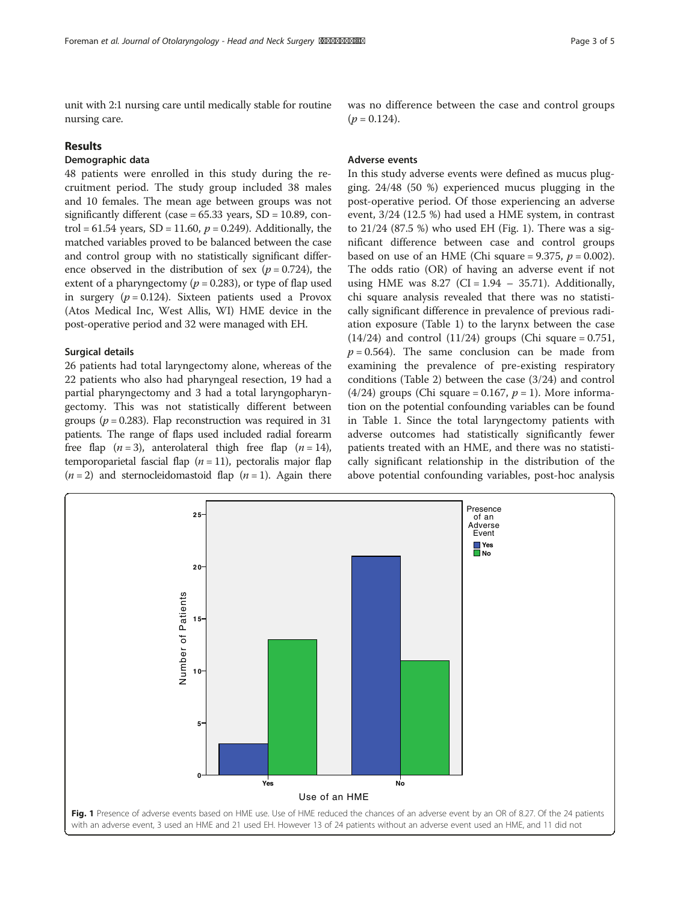unit with 2:1 nursing care until medically stable for routine nursing care.

# Results

# Demographic data

48 patients were enrolled in this study during the recruitment period. The study group included 38 males and 10 females. The mean age between groups was not significantly different (case  $= 65.33$  years, SD  $= 10.89$ , control = 61.54 years, SD = 11.60,  $p = 0.249$ ). Additionally, the matched variables proved to be balanced between the case and control group with no statistically significant difference observed in the distribution of sex ( $p = 0.724$ ), the extent of a pharyngectomy ( $p = 0.283$ ), or type of flap used in surgery ( $p = 0.124$ ). Sixteen patients used a Provox (Atos Medical Inc, West Allis, WI) HME device in the post-operative period and 32 were managed with EH.

#### Surgical details

26 patients had total laryngectomy alone, whereas of the 22 patients who also had pharyngeal resection, 19 had a partial pharyngectomy and 3 had a total laryngopharyngectomy. This was not statistically different between groups ( $p = 0.283$ ). Flap reconstruction was required in 31 patients. The range of flaps used included radial forearm free flap  $(n = 3)$ , anterolateral thigh free flap  $(n = 14)$ , temporoparietal fascial flap ( $n = 11$ ), pectoralis major flap  $(n = 2)$  and sternocleidomastoid flap  $(n = 1)$ . Again there was no difference between the case and control groups  $(p = 0.124)$ .

#### Adverse events

In this study adverse events were defined as mucus plugging. 24/48 (50 %) experienced mucus plugging in the post-operative period. Of those experiencing an adverse event, 3/24 (12.5 %) had used a HME system, in contrast to 21/24 (87.5 %) who used EH (Fig. 1). There was a significant difference between case and control groups based on use of an HME (Chi square =  $9.375$ ,  $p = 0.002$ ). The odds ratio (OR) of having an adverse event if not using HME was  $8.27$  (CI = 1.94 – 35.71). Additionally, chi square analysis revealed that there was no statistically significant difference in prevalence of previous radiation exposure (Table [1](#page-3-0)) to the larynx between the case  $(14/24)$  and control  $(11/24)$  groups (Chi square = 0.751,  $p = 0.564$ ). The same conclusion can be made from examining the prevalence of pre-existing respiratory conditions (Table [2\)](#page-3-0) between the case (3/24) and control (4/24) groups (Chi square = 0.167,  $p = 1$ ). More information on the potential confounding variables can be found in Table [1](#page-3-0). Since the total laryngectomy patients with adverse outcomes had statistically significantly fewer patients treated with an HME, and there was no statistically significant relationship in the distribution of the above potential confounding variables, post-hoc analysis

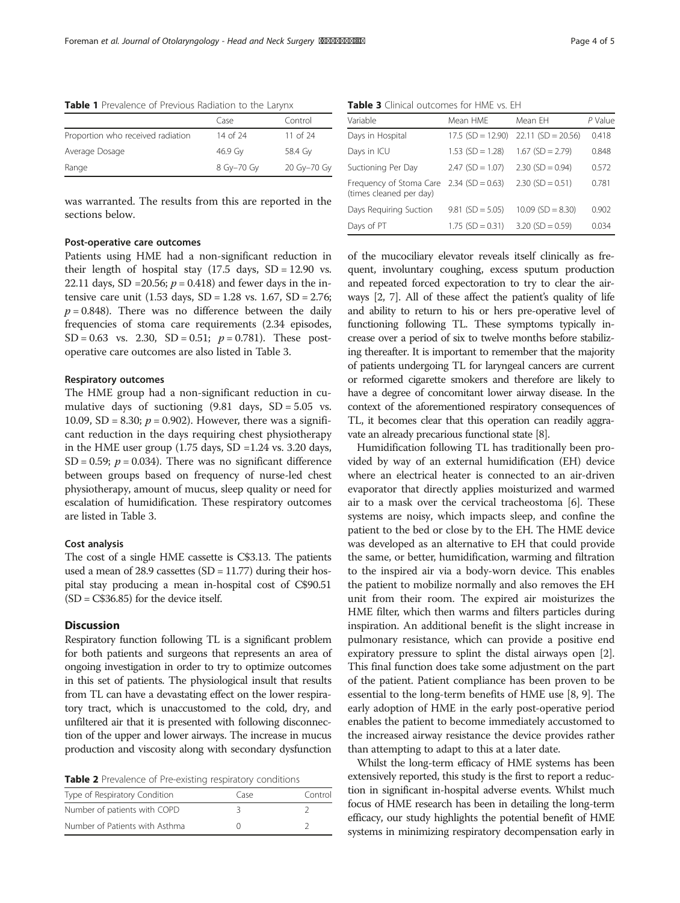|                                   | Case       | Control     |
|-----------------------------------|------------|-------------|
| Proportion who received radiation | 14 of 24   | 11 of $24$  |
| Average Dosage                    | 46.9 Gv    | 58.4 Gy     |
| Range                             | 8 Gy-70 Gy | 20 Gy-70 Gy |
|                                   |            |             |

<span id="page-3-0"></span>Table 1 Prevalence of Previous Radiation to the Larynx

was warranted. The results from this are reported in the sections below.

# Post-operative care outcomes

Patients using HME had a non-significant reduction in their length of hospital stay  $(17.5 \text{ days}, SD = 12.90 \text{ vs.})$ 22.11 days, SD = 20.56;  $p = 0.418$ ) and fewer days in the intensive care unit (1.53 days,  $SD = 1.28$  vs. 1.67,  $SD = 2.76$ ;  $p = 0.848$ ). There was no difference between the daily frequencies of stoma care requirements (2.34 episodes, SD = 0.63 vs. 2.30, SD = 0.51;  $p = 0.781$ ). These postoperative care outcomes are also listed in Table 3.

#### Respiratory outcomes

The HME group had a non-significant reduction in cumulative days of suctioning  $(9.81$  days,  $SD = 5.05$  vs. 10.09, SD = 8.30;  $p = 0.902$ ). However, there was a significant reduction in the days requiring chest physiotherapy in the HME user group  $(1.75 \text{ days}, SD = 1.24 \text{ vs. } 3.20 \text{ days},$ SD = 0.59;  $p = 0.034$ ). There was no significant difference between groups based on frequency of nurse-led chest physiotherapy, amount of mucus, sleep quality or need for escalation of humidification. These respiratory outcomes are listed in Table 3.

#### Cost analysis

The cost of a single HME cassette is C\$3.13. The patients used a mean of 28.9 cassettes  $(SD = 11.77)$  during their hospital stay producing a mean in-hospital cost of C\$90.51  $(SD = C$36.85)$  for the device itself.

#### **Discussion**

Respiratory function following TL is a significant problem for both patients and surgeons that represents an area of ongoing investigation in order to try to optimize outcomes in this set of patients. The physiological insult that results from TL can have a devastating effect on the lower respiratory tract, which is unaccustomed to the cold, dry, and unfiltered air that it is presented with following disconnection of the upper and lower airways. The increase in mucus production and viscosity along with secondary dysfunction

Table 2 Prevalence of Pre-existing respiratory conditions

| Type of Respiratory Condition  | Tase | Control |
|--------------------------------|------|---------|
| Number of patients with COPD   |      |         |
| Number of Patients with Asthma |      |         |

Table 3 Clinical outcomes for HME vs. EH

| Variable                                           | Mean HME            | Mean FH             | P Value |
|----------------------------------------------------|---------------------|---------------------|---------|
| Days in Hospital                                   | $17.5$ (SD = 12.90) | $22.11(SD = 20.56)$ | 0.418   |
| Days in ICU                                        | $1.53$ (SD = 1.28)  | $1.67$ (SD = 2.79)  | 0.848   |
| Suctioning Per Day                                 | $2.47$ (SD = 1.07)  | $2.30$ (SD = 0.94)  | 0.572   |
| Frequency of Stoma Care<br>(times cleaned per day) | $2.34$ (SD = 0.63)  | $2.30$ (SD = 0.51)  | 0.781   |
| Days Reguiring Suction                             | $9.81$ (SD = 5.05)  | $10.09$ (SD = 8.30) | 0.902   |
| Days of PT                                         | $1.75$ (SD = 0.31)  | $3.20$ (SD = 0.59)  | 0.034   |

of the mucociliary elevator reveals itself clinically as frequent, involuntary coughing, excess sputum production and repeated forced expectoration to try to clear the airways [[2](#page-4-0), [7](#page-4-0)]. All of these affect the patient's quality of life and ability to return to his or hers pre-operative level of functioning following TL. These symptoms typically increase over a period of six to twelve months before stabilizing thereafter. It is important to remember that the majority of patients undergoing TL for laryngeal cancers are current or reformed cigarette smokers and therefore are likely to have a degree of concomitant lower airway disease. In the context of the aforementioned respiratory consequences of TL, it becomes clear that this operation can readily aggravate an already precarious functional state [\[8\]](#page-4-0).

Humidification following TL has traditionally been provided by way of an external humidification (EH) device where an electrical heater is connected to an air-driven evaporator that directly applies moisturized and warmed air to a mask over the cervical tracheostoma [\[6](#page-4-0)]. These systems are noisy, which impacts sleep, and confine the patient to the bed or close by to the EH. The HME device was developed as an alternative to EH that could provide the same, or better, humidification, warming and filtration to the inspired air via a body-worn device. This enables the patient to mobilize normally and also removes the EH unit from their room. The expired air moisturizes the HME filter, which then warms and filters particles during inspiration. An additional benefit is the slight increase in pulmonary resistance, which can provide a positive end expiratory pressure to splint the distal airways open [[2](#page-4-0)]. This final function does take some adjustment on the part of the patient. Patient compliance has been proven to be essential to the long-term benefits of HME use [[8, 9](#page-4-0)]. The early adoption of HME in the early post-operative period enables the patient to become immediately accustomed to the increased airway resistance the device provides rather than attempting to adapt to this at a later date.

Whilst the long-term efficacy of HME systems has been extensively reported, this study is the first to report a reduction in significant in-hospital adverse events. Whilst much focus of HME research has been in detailing the long-term efficacy, our study highlights the potential benefit of HME systems in minimizing respiratory decompensation early in